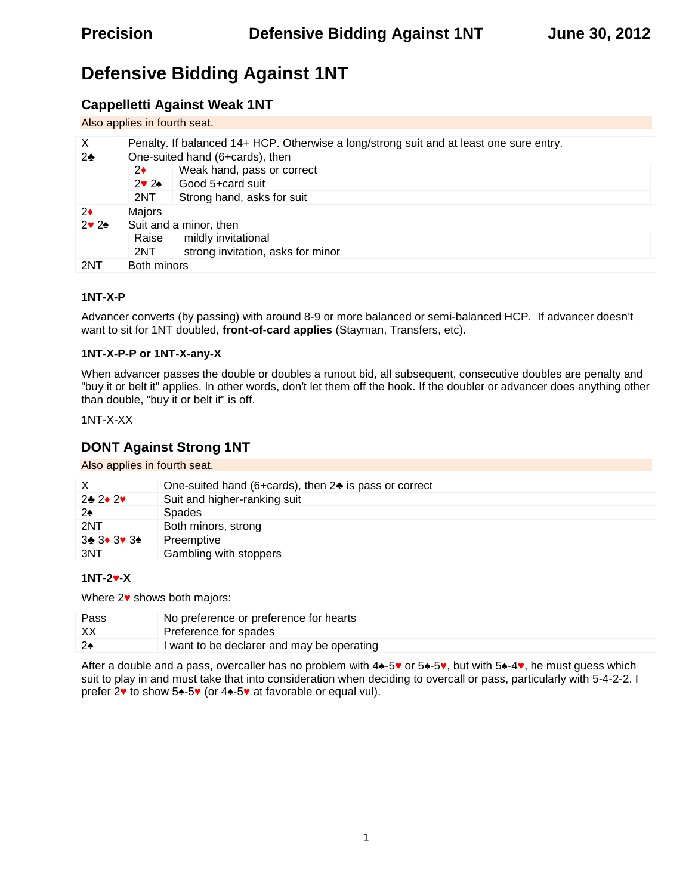# **Defensive Bidding Against 1NT**

# **Cappelletti Against Weak 1NT**

Also applies in fourth seat.

| X   | Penalty. If balanced 14+ HCP. Otherwise a long/strong suit and at least one sure entry. |                                   |  |  |  |
|-----|-----------------------------------------------------------------------------------------|-----------------------------------|--|--|--|
| 2   | One-suited hand (6+cards), then                                                         |                                   |  |  |  |
|     | 2                                                                                       | Weak hand, pass or correct        |  |  |  |
|     | 2 2                                                                                     | Good 5+card suit                  |  |  |  |
|     | 2NT                                                                                     | Strong hand, asks for suit        |  |  |  |
| 2   | Majors                                                                                  |                                   |  |  |  |
| 2 2 | Suit and a minor, then                                                                  |                                   |  |  |  |
|     | Raise                                                                                   | mildly invitational               |  |  |  |
|     | 2NT                                                                                     | strong invitation, asks for minor |  |  |  |
| 2NT | Both minors                                                                             |                                   |  |  |  |

### **1NT-X-P**

Advancer converts (by passing) with around 8-9 or more balanced or semi-balanced HCP. If advancer doesn't want to sit for 1NT doubled, **front-of-card applies** (Stayman, Transfers, etc).

### **1NT-X-P-P or 1NT-X-any-X**

When advancer passes the double or doubles a runout bid, all subsequent, consecutive doubles are penalty and "buy it or belt it" applies. In other words, don't let them off the hook. If the doubler or advancer does anything other than double, "buy it or belt it" is off.

1NT-X-XX

## **DONT Against Strong 1NT**

Also applies in fourth seat.

|         | One-suited hand (6+cards), then 2 is pass or correct |
|---------|------------------------------------------------------|
| 2 2 2   | Suit and higher-ranking suit                         |
| 2       | Spades                                               |
| 2NT     | Both minors, strong                                  |
| 3 3 3 3 | Preemptive                                           |
| 3NT     | Gambling with stoppers                               |

### **1NT-2 -X**

Where 2 shows both majors:

| Pass | No preference or preference for hearts     |
|------|--------------------------------------------|
| XX   | Preference for spades                      |
|      | I want to be declarer and may be operating |

After a double and a pass, overcaller has no problem with 4 -5 or 5 -5 , but with 5 -4 , he must guess which suit to play in and must take that into consideration when deciding to overcall or pass, particularly with 5-4-2-2. I prefer 2 to show 5 -5 (or 4 -5 at favorable or equal vul).